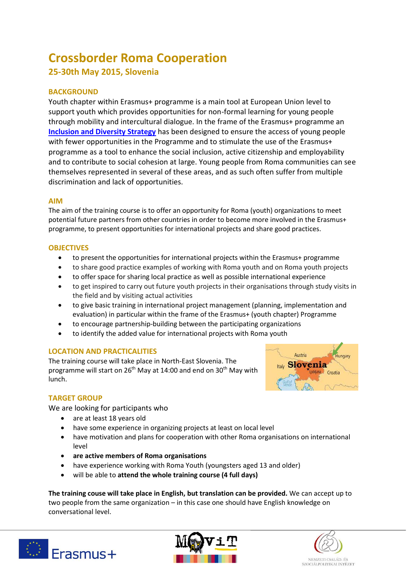# **Crossborder Roma Cooperation 25-30th May 2015, Slovenia**

# **BACKGROUND**

Youth chapter within Erasmus+ programme is a main tool at European Union level to support youth which provides opportunities for non-formal learning for young people through mobility and intercultural dialogue. In the frame of the Erasmus+ programme an **[Inclusion and Diversity Strategy](https://www.salto-youth.net/downloads/4-17-3103/InclusionAndDiversityStrategy.pdf)** has been designed to ensure the access of young people with fewer opportunities in the Programme and to stimulate the use of the Erasmus+ programme as a tool to enhance the social inclusion, active citizenship and employability and to contribute to social cohesion at large. Young people from Roma communities can see themselves represented in several of these areas, and as such often suffer from multiple discrimination and lack of opportunities.

### **AIM**

The aim of the training course is to offer an opportunity for Roma (youth) organizations to meet potential future partners from other countries in order to become more involved in the Erasmus+ programme, to present opportunities for international projects and share good practices.

## **OBJECTIVES**

- to present the opportunities for international projects within the Erasmus+ programme
- to share good practice examples of working with Roma youth and on Roma youth projects
- to offer space for sharing local practice as well as possible international experience
- to get inspired to carry out future youth projects in their organisations through study visits in the field and by visiting actual activities
- to give basic training in international project management (planning, implementation and evaluation) in particular within the frame of the Erasmus+ (youth chapter) Programme
- to encourage partnership-building between the participating organizations
- to identify the added value for international projects with Roma youth

# **LOCATION AND PRACTICALITIES**

The training course will take place in North-East Slovenia. The programme will start on  $26<sup>th</sup>$  May at 14:00 and end on  $30<sup>th</sup>$  May with lunch.



# **TARGET GROUP**

We are looking for participants who

- are at least 18 years old
- have some experience in organizing projects at least on local level
- have motivation and plans for cooperation with other Roma organisations on international level
- **are active members of Roma organisations**
- have experience working with Roma Youth (youngsters aged 13 and older)
- will be able to **attend the whole training course (4 full days)**

**The training couse will take place in English, but translation can be provided.** We can accept up to two people from the same organization – in this case one should have English knowledge on conversational level.